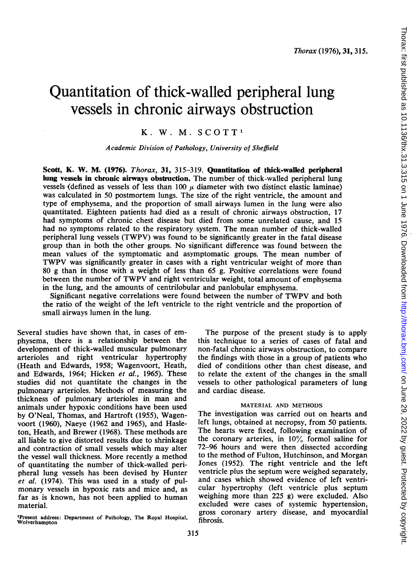# Quantitation of thick-walled peripheral lung vessels in chronic airways obstruction

# K. W. M. SCOTT'

### Academic Division of Pathology, University of Sheffield

Scott, K. W. M. (1976). Thorax, 31, 315-319. Quantitation of thick-walled peripheral lung vessels in chronic airways obstruction. The number of thick-walled peripheral lung vessels (defined as vessels of less than 100  $\mu$  diameter with two distinct elastic laminae) was calculated in 50 postmortem lungs. The size of the right ventricle, the amount and type of emphysema, and the proportion of small airways lumen in the lung were also quantitated. Eighteen patients had died as a result of chronic airways obstruction, 17 had symptoms of chronic chest disease but died from some unrelated cause, and 15 had no symptoms related to the respiratory system. The mean number of thick-walled peripheral lung vessels (TWPV) was found to be significantly greater in the fatal disease group than in both the other groups. No significant difference was found between the mean values of the symptomatic and asymptomatic groups. The mean number of TWPV was significantly greater in cases with <sup>a</sup> right ventricular weight of more than 80 g than in those with a weight of less than 65 g. Positive correlations were found between the number of TWPV and right ventricular weight, total amount of emphysema in the lung, and the amounts of centrilobular and panlobular emphysema.

Significant negative correlations were found between the number of TWPV and both the ratio of the weight of the left ventricle to the right ventricle and the proportion of small airways lumen in the lung.

Several studies have shown that, in cases of emphysema, there is a relationship between the development of thick-walled muscular pulmonary arterioles and right ventricular hypertrophy (Heath and Edwards, 1958; Wagenvoort, Heath, and Edwards, 1964; Hicken et al., 1965). These studies did not quantitate the changes in the pulmonary arterioles. Methods of measuring the thickness of pulmonary arterioles in man and animals under hypoxic conditions have been used by O'Neal, Thomas, and Hartroft (1955), Wagenvoort (1960), Naeye (1962 and 1965), and Hasleton, Heath, and Brewer (1968). These methods are all liable to give distorted results due to shrinkage and contraction of small vessels which may alter the vessel wall thickness. More recently a method of quantitating the number of thick-walled peripheral lung vessels has been devised by Hunter et al. (1974). This was used in a study of pulmonary vessels in hypoxic rats and mice and, as far as is known, has not been applied to human material.

'Present address: Department of Pathology, The Royal Hospital, Wolverhampton

The purpose of the present study is to apply this technique to a series of cases of fatal and non-fatal chronic airways obstruction, to compare the findings with those in a group of patients who died of conditions other than chest disease, and to relate the extent of the changes in the small vessels to other pathological parameters of lung and cardiac disease.

#### MATERIAL AND METHODS

The investigation was carried out on hearts and left lungs, obtained at necropsy, from 50 patients. The hearts were fixed, following examination of the coronary arteries, in 10% formol saline for 72-96 hours and were then dissected according to the method of Fulton, Hutchinson, and Morgan Jones (1952). The right ventricle and the left ventricle plus the septum were weighed separately, and cases which showed evidence of left ventricular hypertrophy (left ventricle plus septum weighing more than 225 g) were excluded. Also excluded were cases of systemic hypertension, gross coronary artery disease, and myocardial fibrosis.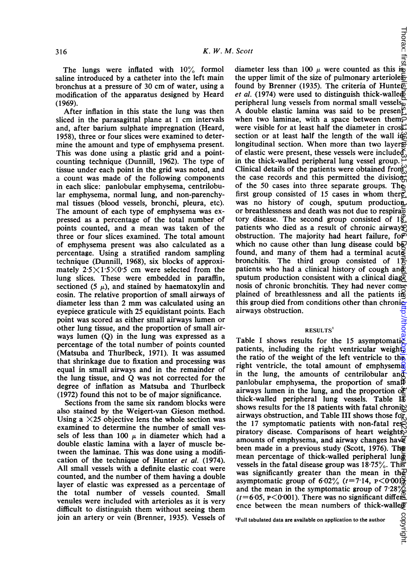The lungs were inflated with  $10\%$  formol saline introduced by a catheter into the left main bronchus at a pressure of 30 cm of water, using a modification of the apparatus designed by Heard (1969).

After inflation in this state the lung was then sliced in the parasagittal plane at <sup>1</sup> cm intervals and, after barium sulphate impregnation (Heard, 1958), three or four slices were examined to determine the amount and type of emphysema present. This was done using a plastic grid and a pointcounting technique (Dunnill, 1962). The type of tissue under each point in the grid was noted, and a count was made of the following components in each slice: panlobular emphysema, centrilobular emphysema, normal lung, and non-parenchymal tissues (blood vessels, bronchi, pleura, etc). The amount of each type of emphysema was expressed as a percentage of the total number of points counted, and a mean was taken of the three or four slices examined. The total amount of emphysema present was also calculated as a percentage. Using a stratified random sampling technique (Dunnill, 1968), six blocks of approximately  $2.5 \times 1.5 \times 0.5$  cm were selected from the lung slices. These were embedded in paraffin, sectioned (5  $\mu$ ), and stained by haematoxylin and eosin. The relative proportion of small airways of diameter less than <sup>2</sup> mm was calculated using an eyepiece graticule with 25 equidistant points. Each point was scored as either small airways lumen or other lung tissue, and the proportion of small airways lumen (Q) in the lung was expressed as a percentage of the total number of points counted (Matsuba and Thurlbeck, 1971). It was assumed that shrinkage due to fixation and processing was equal in small airways and in the remainder of the lung tissue, and Q was not corrected for the degree of inflation as Matsuba and Thurlbeck (1972) found this not to be of major significance.

Sections from the same six random blocks were also stained by the Weigert-van Gieson method. Using a  $\times$ 25 objective lens the whole section was examined to determine the number of small vessels of less than 100  $\mu$  in diameter which had a double elastic lamina with a layer of muscle between the laminae. This was done using a modification of the technique of Hunter et al. (1974). All small vessels with a definite elastic coat were counted, and the number of them having a double layer of elastic was expressed as a percentage of the total number of vessels counted. Small venules were included with arterioles as it is very difficult to distinguish them without seeing them join an artery or vein (Brenner, 1935). Vessels of  $\frac{1}{2}$ <br>
diameter less than 100  $\mu$  were counted as this is:<br>
the wave limit of the sign of pulmaneous caterials on June 29, 2022 by guest. Protected by copyright. <http://thorax.bmj.com/> Thorax: first published as 10.1136/thx.31.3.315 on 1 June 1976. Downloaded from the upper limit of the size of pulmonary arterioles found by Brenner (1935). The criteria of Hunter et al. (1974) were used to distinguish thick-walled peripheral lung vessels from normal small vessels $\frac{1}{2}$ A double elastic lamina was said to be present? when two laminae, with a space between them $\varphi$ were visible for at least half the diameter in cross. section or at least half the length of the wall in  $\omega$ longitudinal section. When more than two layers of elastic were present, these vessels were included in the thick-walled peripheral lung vessel group. Clinical details of the patients were obtained from the case records and this permitted the divisionof the 50 cases into three separate groups. The first group consisted of 15 cases in whom there was no history of cough, sputum production or breathlessness and death was not due to respira $\bar{5}$ tory disease. The second group consisted of  $18$ , patients who died as a result of chronic airways. obstruction. The majority had heart failure, form which no cause other than lung disease could be found, and many of them had a terminal acute bronchitis. The third group consisted of  $1\frac{2}{5}$ patients who had a clinical history of cough and sputum production consistent with a clinical diagg nosis of chronic bronchitis. They had never complained of breathlessness and all the patients in this group died from conditions other than chronicairways obstruction. ip://tho

## RESULTS

Table I shows results for the 15 asymptomatic patients, including the right ventricular weight, the ratio of the weight of the left ventricle to the right ventricle, the total amount of emphysem $\mathbb R$ in the lung, the amounts of centrilobular and panlobular emphysema, the proportion of small airways lumen in the lung, and the proportion  $of$ thick-walled peripheral lung vessels. Table  $I_{\Phi}^{\mathbb{F}}$ shows results for the 18 patients with fatal chronige airways obstruction, and Table III shows those for the 17 symptomatic patients with non-fatal resp piratory disease. Comparisons of heart weights, amounts of emphysema, and airway changes have been made in a previous study (Scott, 1976). The mean percentage of thick-walled peripheral lung vessels in the fatal disease group was  $18.75\%$ . This was significantly greater than the mean in the asymptomatic group of  $6.02\%$  ( $t=7.14$ ,  $p<0.001\%$ and the mean in the symptomatic group of  $7.28\%$  $(t=6.05, \text{ p} < 0.001)$ . There was no significant difference between the mean numbers of thick-walled

copyright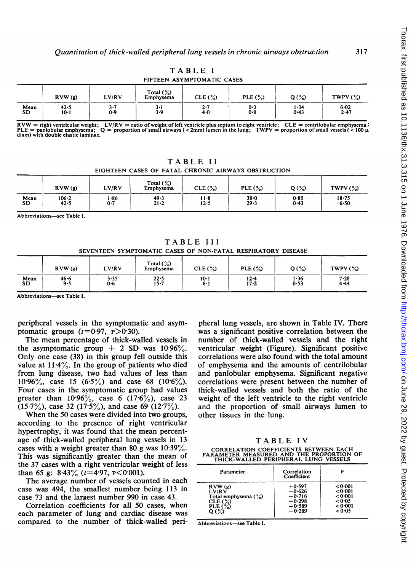|                   |                |            |                           | FIFTEEN ASYMPTOMATIC CASES |            |              |                  |
|-------------------|----------------|------------|---------------------------|----------------------------|------------|--------------|------------------|
|                   | RVW(g)         | LV/RV      | Total $(\%)$<br>Emphysema | CLE (%)                    | PLE $(\%)$ | $Q(\%)$      | TWPV $(\%)$      |
| Mean<br><b>SD</b> | 42.5<br>$10-1$ | 3·7<br>0.9 | 3.1<br>3.9                | 2·7<br>4.0                 | 0.3<br>0.8 | 1.34<br>0.43 | $6 - 02$<br>2.47 |

TABLE <sup>I</sup>

 $Rvw = right$  ventricular weight;  $LV/RV =$  ratio of weight of left ventricle plus septum to right ventricle;  $CLE =$  centrilobular emphysema in the lung control of small ventricle in the lung control of small vessels (< 100  $\mu$ ).  $PLE =$  panlobular emphysema;<br>diam) with double elastic laminae.

TABLE <sup>11</sup> EIGHTEEN CASES OF FATAL CHRONIC AIRWAYS OBSTRUCTION

|                   | RVW(g)        | LV/RV      | Total $(\%)$<br>Emphysema | CLE(%)           | PLE $(\%)$       | $Q(\%)$                                                                                                                         | TWPV $(\%)$       |
|-------------------|---------------|------------|---------------------------|------------------|------------------|---------------------------------------------------------------------------------------------------------------------------------|-------------------|
| Mean<br><b>SD</b> | 106.2<br>42.5 | .86<br>0.7 | 49.3<br>$21 - 2$          | 11-8<br>$12 - 5$ | $38 - 0$<br>29.3 | 0.85<br>0.43<br>the contract of the contract of the contract of the contract of the contract of the contract of the contract of | $18 - 75$<br>6.50 |

Abbreviations-see Table I.

TABLE III SEVENTEEN SYMPTOMATIC CASES OF NON-FATAL RESPIRATORY DISEASE

|            | RVW(g)      | LV/RV               | Total $(\%)$<br>Emphysema | CLE(%)      | PLE $(\%)$           | $Q(\%)$      | TWPV $(\%)$          |
|------------|-------------|---------------------|---------------------------|-------------|----------------------|--------------|----------------------|
| Mean<br>SD | 46.6<br>9.5 | $3 - 35$<br>$0 - 6$ | 22.5<br>$15 - 7$          | 10·1<br>8·1 | $12 - 4$<br>$17 - 2$ | 1.36<br>0.53 | $7 - 28$<br>$4 - 44$ |

Abbreviations-see Table I

peripheral vessels in the symptomatic and asymptomatic groups  $(t=0.97, \text{ p} > 0.30)$ .

The mean percentage of thick-walled vessels in the asymptomatic group  $+$  2 SD was 10.96%. Only one case (38) in this group fell outside this value at  $11.4\%$ . In the group of patients who died from lung disease, two had values of less than 10.96%, case 15 (6.5%) and case 68 (10.6%). Four cases in the symptomatic group had values greater than  $10.96\%$ , case 6  $(17.6\%)$ , case 23  $(15.7\%)$ , case 32  $(17.5\%)$ , and case 69  $(12.7\%)$ .

When the 50 cases were divided into two groups, according to the presence of right ventricular hypertrophy, it was found that the mean percentage of thick-walled peripheral lung vessels in 13 cases with a weight greater than 80 g was  $10.39\%$ . This was significantly greater than the mean of the 37 cases with a right ventricular weight of less than 65 g:  $8.43\%$  ( $t=4.97$ ,  $p<0.001$ ).

The average number of vessels counted in each case was 494, the smallest number being 113 in case 73 and the largest number 990 in case 43.

Correlation coefficients for all 50 cases, when each parameter of lung and cardiac disease was compared to the number of thick-walled peri-

pheral lung vessels, are shown in Table IV. There was a significant positive correlation between the number of thick-walled vessels and the right ventricular weight (Figure). Significant positive correlations were also found with the total amount of emphysema and the amounts of centrilobular and panlobular emphysema. Significant negative correlations were present between the number of thick-walled vessels and both the ratio of the weight of the left ventricle to the right ventricle and the proportion of small airways lumen to other tissues in the lung.

TABLE IV

CORRELATION COEFFICIENTS BETWEEN EACH PARAMETER MEASURED AND THE PROPORTION OF THICK-WALLED PERIPHERAL LUNG VESSELS

| Parameter              | Correlation<br>Coefficient | Р       |
|------------------------|----------------------------|---------|
| RVW(s)                 | $+0.597$                   | < 0.001 |
| LV/RV                  | $-0.626$                   | < 0.001 |
| Total emphysema $(\%)$ | $+0.716$                   | < 0.001 |
| CLE(%)                 | $+0.298$                   | < 0.05  |
| PLE $(\%)$             | $+0.589$                   | < 0.001 |
| O $($ %)               | $-0.289$                   | < 0.05  |

Abbreviations-see Table I.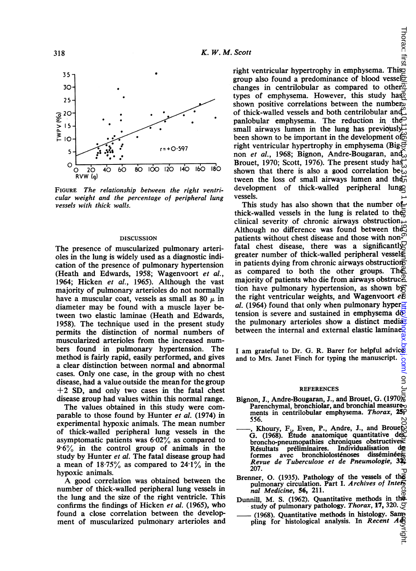

FIGURE The relationship between the right ventricular weight and the percentage of peripheral lung vessels with thick walls.

#### DISCUSSION

The presence of muscularized pulmonary arterioles in the lung is widely used as a diagnostic indication of the presence of pulmonary hypertension (Heath and Edwards, 1958; Wagenvoort et al., 1964; Hicken et al., 1965). Although the vast majority of pulmonary arterioles do not normally have a muscular coat, vessels as small as 80  $\mu$  in diameter may be found with a muscle layer between two elastic laminae (Heath and Edwards, 1958). The technique used in the present study permits the distinction of normal numbers of muscularized arterioles from the increased numbers found in pulmonary hypertension. The method is fairly rapid, easily performed, and gives a clear distinction between normal and abnormal cases. Only one case, in the group with no chest disease, had a value outside the mean for the group  $+2$  SD, and only two cases in the fatal chest disease group had values within this normal range.

The values obtained in this study were comparable to those found by Hunter et al. (1974) in experimental hypoxic animals. The mean number of thick-walled peripheral lung vessels in the asymptomatic patients was  $6.02\%$  as compared to <sup>9</sup> 6% in the control group of animals in the study by Hunter et al. The fatal disease group had a mean of  $18.75\%$  as compared to  $24.1\%$  in the hypoxic animals.

A good correlation was obtained between the number of thick-walled peripheral lung vessels in the lung and the size of the right ventricle. This confirms the findings of Hicken et al. (1965), who found a close correlation between the development of muscularized pulmonary arterioles and

**Scott**<br>right ventricular hypertrophy in emphysema. This<br>right ventricular hypertrophy in emphysema. This group also found a predominance of blood vessel changes in centrilobular as compared to other $\overline{\mathfrak{D}}$ types of emphysema. However, this study has shown positive correlations between the number of thick-walled vessels and both centrilobular and panlobular emphysema. The reduction in the small airways lumen in the lung has previously been shown to be important in the development of right ventricular hypertrophy in emphysema (Bignon et al., 1968; Bignon, Andre-Bougaran, and  $\delta$ Brouet, 1970; Scott, 1976). The present study has shown that there is also a good correlation be<sub>to</sub> tween the loss of small airways lumen and the development of thick-walled peripheral lung vessels.

This study has also shown that the number of thick-walled vessels in the lung is related to the clinical severity of chronic airways obstruction. Although no difference was found between the patients without chest disease and those with nonfatal chest disease, there was a significantly greater number of thick-walled peripheral vessels in patients dying from chronic airways obstructions as compared to both the other groups. The majority of patients who die from airways obstruc $\mathcal{L}$ tion have pulmonary hypertension, as shown by: the right ventricular weights, and Wagenvoort  $e\bar{g}$ al. (1964) found that only when pulmonary hyper $\frac{1}{2}$ tension is severe and sustained in emphysema  $d\overline{\varphi}$ . the pulmonary arterioles show a distinct mediabetween the internal and external elastic laminae.  $\alpha$ une 2022 by guest. Protected by the copyright published by comparison as  $\alpha$  in the copyright. Those  $\alpha$  is the state of  $\alpha$  is  $\alpha$  as  $\alpha$  is  $\alpha$  is  $\alpha$  is  $\alpha$  is  $\alpha$  is  $\alpha$  is  $\alpha$  is  $\alpha$  is  $\alpha$  is  $\alpha$  i

I am grateful to Dr. G. R. Barer for helpful advices and to Mrs. Janet Finch for typing the manuscript. and to Mrs. Janet Finch for typing the manuscript.

#### REFERENCES

- Bignon, J., Andre-Bougaran, J., and Brouet, G. (1970). Parenchymal, bronchiolar, and bronchial measurements in centrilobular emphysema. Thorax, 2 556.
- Khoury,  $F_{\nu}$ , Even, P., Andre, J., and Broueton G. (1968). Etude anatomique quantitative des broncho-pneumopathies chroniques obstructives. Résultats préliminaires. Individualisation de<br>formes avec bronchiolosténoses disséminées avec bronchiolosténoses Revue de Tuberculose et de Pneumologie, 32, 207.
- Brenner, 0. (1935). Pathology of the vessels of the pulmonary circulation. Part I. Archives of Internal Medicine, 56, 211.
- Dunnill, M. S. (1962). Quantitative methods in the study of pulmonary pathology. Thorax, 17, 320.
- (1968). Quantitative methods in histology. Sampling for histological analysis. In Recent  $A\ddot{\phi}$